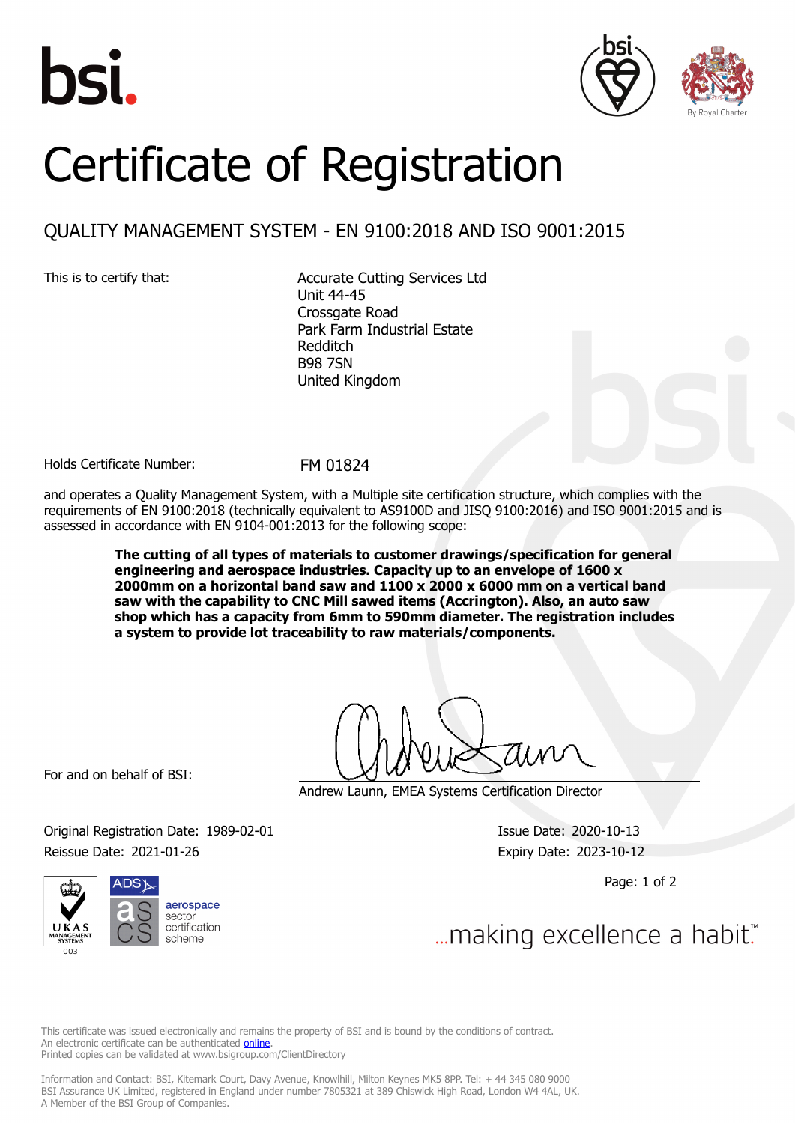





## Certificate of Registration

## QUALITY MANAGEMENT SYSTEM - EN 9100:2018 AND ISO 9001:2015

This is to certify that: <br>
Accurate Cutting Services Ltd Unit 44-45 Crossgate Road Park Farm Industrial Estate Redditch B98 7SN United Kingdom

Holds Certificate Number: FM 01824

and operates a Quality Management System, with a Multiple site certification structure, which complies with the requirements of EN 9100:2018 (technically equivalent to AS9100D and JISQ 9100:2016) and ISO 9001:2015 and is assessed in accordance with EN 9104-001:2013 for the following scope:

> **The cutting of all types of materials to customer drawings/specification for general engineering and aerospace industries. Capacity up to an envelope of 1600 x 2000mm on a horizontal band saw and 1100 x 2000 x 6000 mm on a vertical band saw with the capability to CNC Mill sawed items (Accrington). Also, an auto saw shop which has a capacity from 6mm to 590mm diameter. The registration includes a system to provide lot traceability to raw materials/components.**

For and on behalf of BSI:

Andrew Launn, EMEA Systems Certification Director

Original Registration Date: 1989-02-01 Issue Date: 2020-10-13 Reissue Date: 2021-01-26 **Expiry Date: 2023-10-12** 

Page: 1 of 2



... making excellence a habit."

This certificate was issued electronically and remains the property of BSI and is bound by the conditions of contract. An electronic certificate can be authenticated **[online](https://pgplus.bsigroup.com/CertificateValidation/CertificateValidator.aspx?CertificateNumber=FM+01824&ReIssueDate=26%2f01%2f2021&Template=uk)**. Printed copies can be validated at www.bsigroup.com/ClientDirectory

Information and Contact: BSI, Kitemark Court, Davy Avenue, Knowlhill, Milton Keynes MK5 8PP. Tel: + 44 345 080 9000 BSI Assurance UK Limited, registered in England under number 7805321 at 389 Chiswick High Road, London W4 4AL, UK. A Member of the BSI Group of Companies.